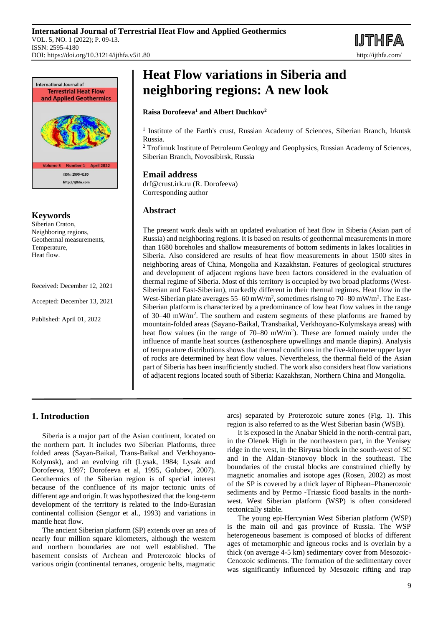



# **Keywords**

Siberian Craton, Neighboring regions, Geothermal measurements, Temperature, Heat flow.

Received: December 12, 2021

Accepted: December 13, 2021

Published: April 01, 2022

# **Heat Flow variations in Siberia and neighboring regions: A new look**

## **Raisa Dorofeeva<sup>1</sup> and Albert Duchkov<sup>2</sup>**

<sup>1</sup> Institute of the Earth's crust, Russian Academy of Sciences, Siberian Branch, Irkutsk Russia.

<sup>2</sup> Trofimuk Institute of Petroleum Geology and Geophysics, Russian Academy of Sciences, Siberian Branch, Novosibirsk, Russia

# **Email address**

drf@crust.irk.ru (R. Dorofeeva) Corresponding author

# **Abstract**

The present work deals with an updated evaluation of heat flow in Siberia (Asian part of Russia) and neighboring regions. It is based on results of geothermal measurements in more than 1680 boreholes and shallow measurements of bottom sediments in lakes localities in Siberia. Also considered are results of heat flow measurements in about 1500 sites in neighboring areas of China, Mongolia and Kazakhstan. Features of geological structures and development of adjacent regions have been factors considered in the evaluation of thermal regime of Siberia. Most of this territory is occupied by two broad platforms (West-Siberian and East-Siberian), markedly different in their thermal regimes. Heat flow in the West-Siberian plate averages 55–60 mW/m<sup>2</sup>, sometimes rising to 70–80 mW/m<sup>2</sup>. The East-Siberian platform is characterized by a predominance of low heat flow values in the range of 30–40 mW/m<sup>2</sup> . The southern and eastern segments of these platforms are framed by mountain-folded areas (Sayano-Baikal, Transbaikal, Verkhoyano-Kolymskaya areas) with heat flow values (in the range of  $70-80$  mW/m<sup>2</sup>). These are formed mainly under the influence of mantle heat sources (asthenosphere upwellings and mantle diapirs). Analysis of temperature distributions shows that thermal conditions in the five-kilometer upper layer of rocks are determined by heat flow values. Nevertheless, the thermal field of the Asian part of Siberia has been insufficiently studied. The work also considers heat flow variations of adjacent regions located south of Siberia: Kazakhstan, Northern China and Mongolia.

# **1. Introduction**

Siberia is a major part of the Asian continent, located on the northern part. It includes two Siberian Platforms, three folded areas (Sayan-Baikal, Trans-Baikal and Verkhoyano-Kolymsk), and an evolving rift (Lysak, 1984; Lysak and Dorofeeva, 1997; Dorofeeva et al, 1995, Golubev, 2007). Geothermics of the Siberian region is of special interest because of the confluence of its major tectonic units of different age and origin. It was hypothesized that the long-term development of the territory is related to the Indo-Eurasian continental collision (Sengor et al., 1993) and variations in mantle heat flow.

The ancient Siberian platform (SP) extends over an area of nearly four million square kilometers, although the western and northern boundaries are not well established. The basement consists of Archean and Proterozoic blocks of various origin (continental terranes, orogenic belts, magmatic arcs) separated by Proterozoic suture zones (Fig. 1). This region is also referred to as the West Siberian basin (WSB).

It is exposed in the Anabar Shield in the north-central part, in the Olenek High in the northeastern part, in the Yenisey ridge in the west, in the Biryusa block in the south-west of SC and in the Aldan–Stanovoy block in the southeast. The boundaries of the crustal blocks are constrained chiefly by magnetic anomalies and isotope ages (Rosen, 2002) as most of the SP is covered by a thick layer of Riphean–Phanerozoic sediments and by Permo -Triassic flood basalts in the northwest. West Siberian platform (WSP) is often considered tectonically stable.

The young epi-Hercynian West Siberian platform (WSP) is the main oil and gas province of Russia. The WSP heterogeneous basement is composed of blocks of different ages of metamorphic and igneous rocks and is overlain by a thick (on average 4-5 km) sedimentary cover from Mesozoic-Cenozoic sediments. The formation of the sedimentary cover was significantly influenced by Mesozoic rifting and trap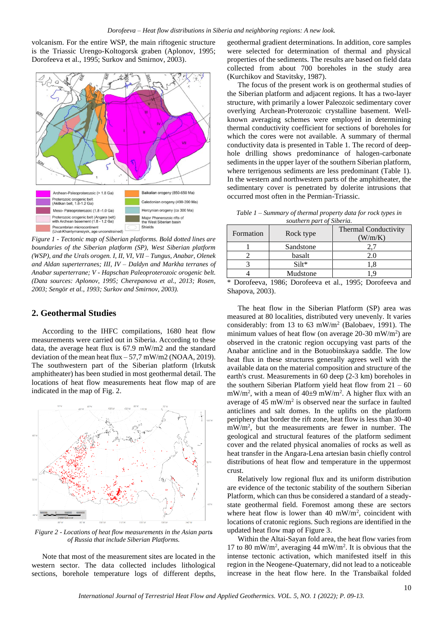volcanism. For the entire WSP, the main riftogenic structure is the Triassic Urengo-Koltogorsk graben (Aplonov, 1995; Dorofeeva et al., 1995; Surkov and Smirnov, 2003).



*Figure 1 - Tectonic map of Siberian platforms. Bold dotted lines are boundaries of the Siberian platform (SP), West Siberian platform (WSP), and the Urals orogen. I, II, VI, VII – Tungus, Anabar, Olenek and Aldan superterranes; III, IV – Daldyn and Markha terranes of Anabar superterrane; V - Hapschan Paleoproterozoic orogenic belt. (Data sources: Aplonov, 1995; Cherepanova et al., 2013; Rosen, 2003; Sengör et al., 1993; Surkov and Smirnov, 2003).*

# **2. Geothermal Studies**

According to the IHFC compilations, 1680 heat flow measurements were carried out in Siberia. According to these data, the average heat flux is 67.9 mW/m2 and the standard deviation of the mean heat flux  $-57.7$  mW/m2 (NOAA, 2019). The southwestern part of the Siberian platform (Irkutsk amphitheater) has been studied in most geothermal detail. The locations of heat flow measurements heat flow map of are indicated in the map of Fig. 2.



*Figure 2 - Locations of heat flow measurements in the Asian parts of Russia that include Siberian Platforms.*

Note that most of the measurement sites are located in the western sector. The data collected includes lithological sections, borehole temperature logs of different depths, geothermal gradient determinations. In addition, core samples were selected for determination of thermal and physical properties of the sediments. The results are based on field data collected from about 700 boreholes in the study area (Kurchikov and Stavitsky, 1987).

The focus of the present work is on geothermal studies of the Siberian platform and adjacent regions. It has a two-layer structure, with primarily a lower Paleozoic sedimentary cover overlying Archean-Proterozoic crystalline basement. Wellknown averaging schemes were employed in determining thermal conductivity coefficient for sections of boreholes for which the cores were not available. A summary of thermal conductivity data is presented in Table 1. The record of deephole drilling shows predominance of halogen-carbonate sediments in the upper layer of the southern Siberian platform, where terrigenous sediments are less predominant (Table 1). In the western and northwestern parts of the amphitheater, the sedimentary cover is penetrated by dolerite intrusions that occurred most often in the Permian-Triassic.

| Table $1$ – Summary of thermal property data for rock types in |
|----------------------------------------------------------------|
| southern part of Siberia.                                      |

| Formation | Rock type | <b>Thermal Conductivity</b><br>W/m/K |
|-----------|-----------|--------------------------------------|
|           | Sandstone |                                      |
|           | basalt    | 2.01                                 |
|           | $Silt*$   |                                      |
|           | Mudstone  |                                      |

Dorofeeva, 1986; Dorofeeva et al., 1995; Dorofeeva and Shapova, 2003).

The heat flow in the Siberian Platform (SP) area was measured at 80 localities, distributed very unevenly. It varies considerably: from 13 to 63 mW/m<sup>2</sup> (Balobaev, 1991). The minimum values of heat flow (on average  $20-30$  mW/m<sup>2</sup>) are observed in the cratonic region occupying vast parts of the Anabar anticline and in the Botuobinskaya saddle. The low heat flux in these structures generally agrees well with the available data on the material composition and structure of the earth's crust. Measurements in 60 deep (2-3 km) boreholes in the southern Siberian Platform yield heat flow from  $21 - 60$  $mW/m<sup>2</sup>$ , with a mean of 40±9 mW/m<sup>2</sup>. A higher flux with an average of  $45 \text{ mW/m}^2$  is observed near the surface in faulted anticlines and salt domes. In the uplifts on the platform periphery that border the rift zone, heat flow is less than 30-40 mW/m<sup>2</sup> , but the measurements are fewer in number. The geological and structural features of the platform sediment cover and the related physical anomalies of rocks as well as heat transfer in the Angara-Lena artesian basin chiefly control distributions of heat flow and temperature in the uppermost crust.

Relatively low regional flux and its uniform distribution are evidence of the tectonic stability of the southern Siberian Platform, which can thus be considered a standard of a steadystate geothermal field. Foremost among these are sectors where heat flow is lower than 40 mW/m<sup>2</sup>, coincident with locations of cratonic regions. Such regions are identified in the updated heat flow map of Figure 3.

Within the Altai-Sayan fold area, the heat flow varies from 17 to 80 mW/m<sup>2</sup> , averaging 44 mW/m<sup>2</sup> . It is obvious that the intense tectonic activation, which manifested itself in this region in the Neogene-Quaternary, did not lead to a noticeable increase in the heat flow here. In the Transbaikal folded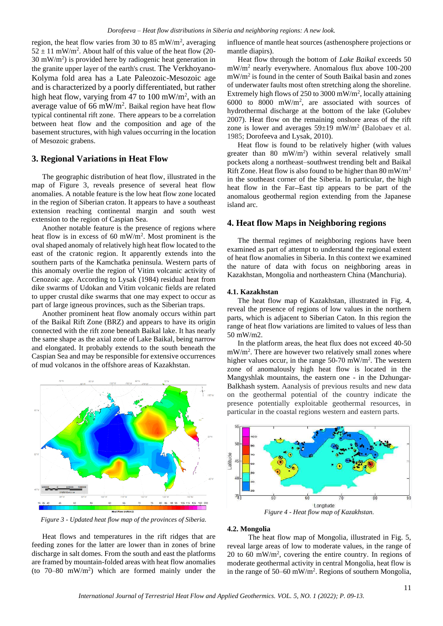region, the heat flow varies from 30 to 85 mW/m<sup>2</sup>, averaging  $52 \pm 11$  mW/m<sup>2</sup>. About half of this value of the heat flow (20- $30 \text{ mW/m}^2$ ) is provided here by radiogenic heat generation in the granite upper layer of the earth's crust. The Verkhoyano-Kolyma fold area has a Late Paleozoic-Mesozoic age and is characterized by a poorly differentiated, but rather high heat flow, varying from 47 to 100 mW/m<sup>2</sup>, with an average value of 66 mW/m<sup>2</sup>. Baikal region have heat flow typical continental rift zone. There appears to be a correlation between heat flow and the composition and age of the basement structures, with high values occurring in the location of Mesozoic grabens.

## **3. Regional Variations in Heat Flow**

The geographic distribution of heat flow, illustrated in the map of Figure 3, reveals presence of several heat flow anomalies. A notable feature is the low heat flow zone located in the region of Siberian craton. It appears to have a southeast extension reaching continental margin and south west extension to the region of Caspian Sea.

Another notable feature is the presence of regions where heat flow is in excess of 60 mW/m<sup>2</sup>. Most prominent is the oval shaped anomaly of relatively high heat flow located to the east of the cratonic region. It apparently extends into the southern parts of the Kamchatka peninsula. Western parts of this anomaly overlie the region of Vitim volcanic activity of Cenozoic age. According to Lysak (1984) residual heat from dike swarms of Udokan and Vitim volcanic fields are related to upper crustal dike swarms that one may expect to occur as part of large igneous provinces, such as the Siberian traps.

Another prominent heat flow anomaly occurs within part of the Baikal Rift Zone (BRZ) and appears to have its origin connected with the rift zone beneath Baikal lake. It has nearly the same shape as the axial zone of Lake Baikal, being narrow and elongated. It probably extends to the south beneath the Caspian Sea and may be responsible for extensive occurrences of mud volcanos in the offshore areas of Kazakhstan.



*Figure 3 - Updated heat flow map of the provinces of Siberia.*

Heat flows and temperatures in the rift ridges that are feeding zones for the latter are lower than in zones of brine discharge in salt domes. From the south and east the platforms are framed by mountain-folded areas with heat flow anomalies (to  $70-80$  mW/m<sup>2</sup>) which are formed mainly under the influence of mantle heat sources (asthenosphere projections or mantle diapirs).

Heat flow through the bottom of *Lake Baikal* exceeds 50 mW/m<sup>2</sup> nearly everywhere. Anomalous flux above 100-200 mW/m<sup>2</sup> is found in the center of South Baikal basin and zones of underwater faults most often stretching along the shoreline. Extremely high flows of 250 to 3000 mW/m<sup>2</sup>, locally attaining 6000 to 8000 mW/m<sup>2</sup> , are associated with sources of hydrothermal discharge at the bottom of the lake (Golubev 2007). Heat flow on the remaining onshore areas of the rift zone is lower and averages  $59{\pm}19$  mW/m<sup>2</sup> (Balobaev et al. 1985; Dorofeeva and Lysak, 2010).

Heat flow is found to be relatively higher (with values greater than 80 mW/m<sup>2</sup> ) within several relatively small pockets along a northeast–southwest trending belt and Baikal Rift Zone. Heat flow is also found to be higher than  $80 \text{ mW/m}^2$ in the southeast corner of the Siberia. In particular, the high heat flow in the Far-East tip appears to be part of the anomalous geothermal region extending from the Japanese island arc.

## **4. Heat flow Maps in Neighboring regions**

The thermal regimes of neighboring regions have been examined as part of attempt to understand the regional extent of heat flow anomalies in Siberia. In this context we examined the nature of data with focus on neighboring areas in Kazakhstan, Mongolia and northeastern China (Manchuria).

#### **4.1. Kazakhstan**

The heat flow map of Kazakhstan, illustrated in Fig. 4, reveal the presence of regions of low values in the northern parts, which is adjacent to Siberian Caton. In this region the range of heat flow variations are limited to values of less than 50 mW/m2.

In the platform areas, the heat flux does not exceed 40-50  $mW/m<sup>2</sup>$ . There are however two relatively small zones where higher values occur, in the range  $50-70$  mW/m<sup>2</sup>. The western zone of anomalously high heat flow is located in the Mangyshlak mountains, the eastern one - in the Dzhungar-Balkhash system. Aanalysis of previous results and new data on the geothermal potential of the country indicate the presence potentially exploitable geothermal resources, in particular in the coastal regions western and eastern parts.



#### **4.2. Mongolia**

The heat flow map of Mongolia, illustrated in Fig. 5, reveal large areas of low to moderate values, in the range of 20 to 60 mW/m<sup>2</sup> , covering the entire country. In regions of moderate geothermal activity in central Mongolia, heat flow is in the range of 50–60 mW/m<sup>2</sup>. Regions of southern Mongolia,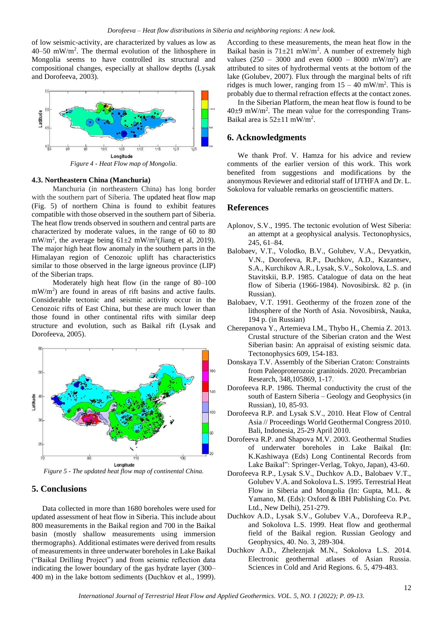of low seismic-activity, are characterized by values as low as 40–50 mW/m<sup>2</sup> . The thermal evolution of the lithosphere in Mongolia seems to have controlled its structural and compositional changes, especially at shallow depths (Lysak and Dorofeeva, 2003).



#### **4.3. Northeastern China (Manchuria)**

Manchuria (in northeastern China) has long border with the southern part of Siberia. The updated heat flow map (Fig. 5) of northern China is found to exhibit features compatible with those observed in the southern part of Siberia. The heat flow trends observed in southern and central parts are characterized by moderate values, in the range of 60 to 80 mW/m<sup>2</sup>, the average being  $61\pm2$  mW/m<sup>2</sup>(Jiang et al, 2019). The major high heat flow anomaly in the southern parts in the Himalayan region of Cenozoic uplift has characteristics similar to those observed in the large igneous province (LIP) of the Siberian traps.

Moderately high heat flow (in the range of 80–100 mW/m<sup>2</sup>) are found in areas of rift basins and active faults. Considerable tectonic and seismic activity occur in the Cenozoic rifts of East China, but these are much lower than those found in other continental rifts with similar deep structure and evolution, such as Baikal rift (Lysak and Dorofeeva, 2005).



*Figure 5 - The updated heat flow map of continental China.*

## **5. Conclusions**

Data collected in more than 1680 boreholes were used for updated assessment of heat flow in Siberia. This include about 800 measurements in the Baikal region and 700 in the Baikal basin (mostly shallow measurements using immersion thermographs). Additional estimates were derived from results of measurements in three underwater boreholes in Lake Baikal ("Baikal Drilling Project") and from seismic reflection data indicating the lower boundary of the gas hydrate layer (300– 400 m) in the lake bottom sediments (Duchkov et al., 1999). According to these measurements, the mean heat flow in the Baikal basin is  $71\pm21$  mW/m<sup>2</sup>. A number of extremely high values  $(250 - 3000)$  and even  $6000 - 8000$  mW/m<sup>2</sup>) are attributed to sites of hydrothermal vents at the bottom of the lake (Golubev, 2007). Flux through the marginal belts of rift ridges is much lower, ranging from  $15 - 40$  mW/m<sup>2</sup>. This is probably due to thermal refraction effects at the contact zones.

In the Siberian Platform, the mean heat flow is found to be  $40±9$  mW/m<sup>2</sup>. The mean value for the corresponding Trans-Baikal area is  $52 \pm 11$  mW/m<sup>2</sup>.

#### **6. Acknowledgments**

We thank Prof. V. Hamza for his advice and review comments of the earlier version of this work. This work benefited from suggestions and modifications by the anonymous Reviewer and editorial staff of IJTHFA and Dr. L. Sokolova for valuable remarks on geoscientific matters.

# **References**

- Aplonov, S.V., 1995. The tectonic evolution of West Siberia: an attempt at a geophysical analysis. Tectonophysics, 245, 61–84.
- Balobaev, V.T., Volodko, B.V., Golubev, V.A., Devyatkin, V.N., Dorofeeva, R.P., Duchkov, A.D., Kazantsev, S.A., Kurchikov A.R., Lysak, S.V., Sokolova, L.S. and Stavitskii, B.P. 1985. Сatalogue of data on the heat flow of Siberia (1966-1984). Novosibirsk. 82 p. (in Russian).
- Balobaev, V.T. 1991. Geothermy of the frozen zone of the lithosphere of the North of Asia. Novosibirsk, Nauka, 194 p. (in Russian)
- Cherepanova Y., Artemieva I.M., Thybo H., Chemia Z. 2013. Crustal structure of the Siberian craton and the West Siberian basin: An appraisal of existing seismic data. Tectonophysics 609, 154-183.
- Donskaya T.V. Assembly of the Siberian Craton: Constraints from Paleoproterozoic granitoids. 2020. Precambrian Research, 348,105869, 1-17.
- Dorofeeva R.P. 1986. Thermal conductivity the crust of the south of Eastern Siberia – Geology and Geophysics (in Russian), 10, 85-93.
- Dorofeeva R.P. and Lysak S.V., 2010. Heat Flow of Central Asia // Proceedings World Geothermal Congress 2010. Bali, Indonesia, 25-29 April 2010.
- Dorofeeva R.P. and Shapova M.V. 2003. Geothermal Studies of underwater boreholes in Lake Baikal **(**In: K.Kashiwaya (Eds) Long Continental Records from Lake Baikal": Springer-Verlag, Tokyo, Japan), 43-60.
- Dorofeeva R.P., Lysak S.V., Duchkov A.D., Balobaev V.T., Golubev V.A. and Sokolova L.S. 1995. Terrestrial Heat Flow in Siberia and Mongolia (In: Gupta, M.L. & Yamano, M. (Eds): Oxford & IBH Publishing Co. Pvt. Ltd., New Delhi), 251-279.
- Duchkov A.D., Lysak S.V., Golubev V.A., Dorofeeva R.P., and Sokolova L.S. 1999. Heat flow and geothermal field of the Baikal region. Russian Geology and Geophysics, 40. No. 3, 289-304.
- [Duchkov A.D.,](javascript:NextSearch(%22%D0%90%D0%B2%D1%82%D0%BE%D1%80(%D1%8B)%22,%20%22AU_%22,%20%22Duchkov%20A.D.%22,%20%22Duchkov%20A.D.%22,%20%2216%22)) [Zheleznjak M.N](javascript:NextSearch(%22%D0%90%D0%B2%D1%82%D0%BE%D1%80(%D1%8B)%22,%20%22AU_%22,%20%22Zheleznjak%20M.%22,%20%22Zheleznjak%20M.%22,%20%2216%22))., [Sokolova L.S.](javascript:NextSearch(%22%D0%90%D0%B2%D1%82%D0%BE%D1%80(%D1%8B)%22,%20%22AU_%22,%20%22Sokolova%20L.S.%22,%20%22Sokolova%20L.S.%22,%20%2216%22)) 2014*.*  Electronic geothermal atlases of Asian Russia. Sciences in Cold and Arid Regions. 6. 5, 479-483.